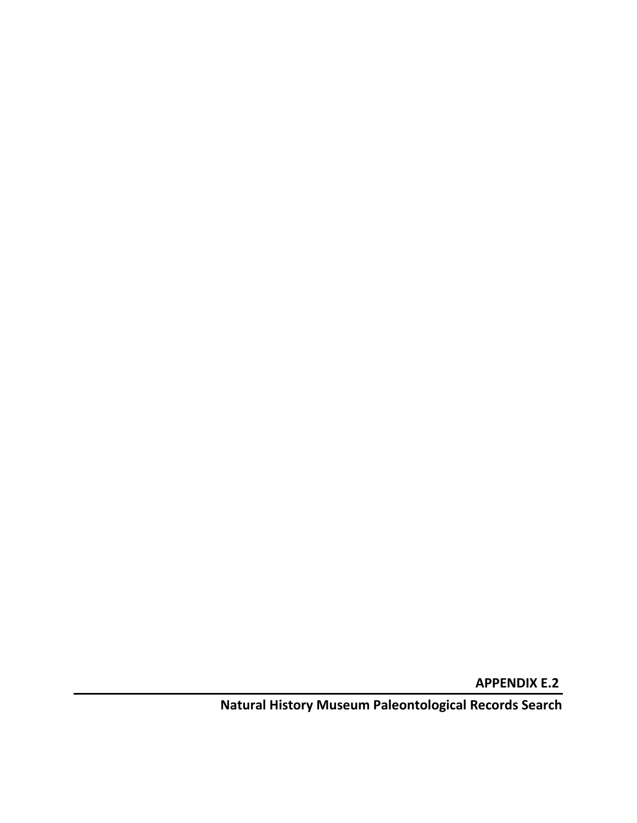**APPENDIX E.2**

**Natural History Museum Paleontological Records Search**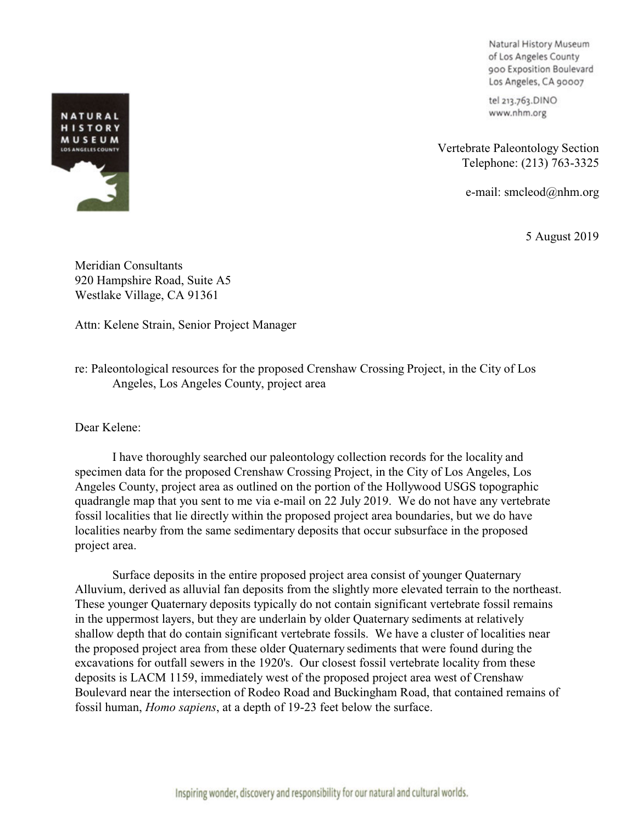Natural History Museum of Los Angeles County 900 Exposition Boulevard Los Angeles, CA 90007

tel 213.763.DINO www.nhm.org

Vertebrate Paleontology Section Telephone: (213) 763-3325

e-mail: smcleod@nhm.org

5 August 2019

Meridian Consultants 920 Hampshire Road, Suite A5 Westlake Village, CA 91361

Attn: Kelene Strain, Senior Project Manager

re: Paleontological resources for the proposed Crenshaw Crossing Project, in the City of Los Angeles, Los Angeles County, project area

Dear Kelene:

I have thoroughly searched our paleontology collection records for the locality and specimen data for the proposed Crenshaw Crossing Project, in the City of Los Angeles, Los Angeles County, project area as outlined on the portion of the Hollywood USGS topographic quadrangle map that you sent to me via e-mail on 22 July 2019. We do not have any vertebrate fossil localities that lie directly within the proposed project area boundaries, but we do have localities nearby from the same sedimentary deposits that occur subsurface in the proposed project area.

Surface deposits in the entire proposed project area consist of younger Quaternary Alluvium, derived as alluvial fan deposits from the slightly more elevated terrain to the northeast. These younger Quaternary deposits typically do not contain significant vertebrate fossil remains in the uppermost layers, but they are underlain by older Quaternary sediments at relatively shallow depth that do contain significant vertebrate fossils. We have a cluster of localities near the proposed project area from these older Quaternary sediments that were found during the excavations for outfall sewers in the 1920's. Our closest fossil vertebrate locality from these deposits is LACM 1159, immediately west of the proposed project area west of Crenshaw Boulevard near the intersection of Rodeo Road and Buckingham Road, that contained remains of fossil human, *Homo sapiens*, at a depth of 19-23 feet below the surface.